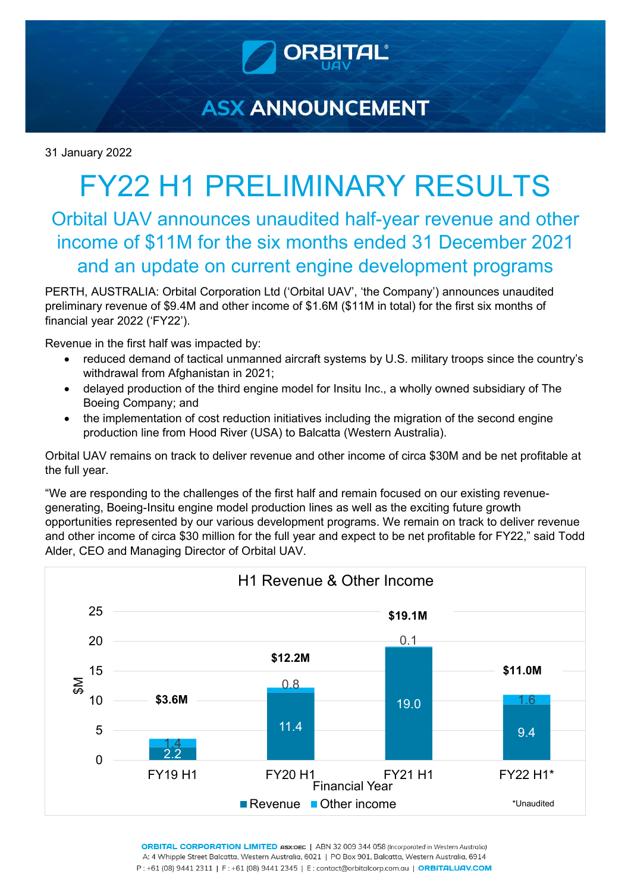

# **ASX ANNOUNCEMENT**

31 January 2022

# FY22 H1 PRELIMINARY RESULTS

## Orbital UAV announces unaudited half-year revenue and other income of \$11M for the six months ended 31 December 2021 and an update on current engine development programs

PERTH, AUSTRALIA: Orbital Corporation Ltd ('Orbital UAV', 'the Company') announces unaudited preliminary revenue of \$9.4M and other income of \$1.6M (\$11M in total) for the first six months of financial year 2022 ('FY22').

Revenue in the first half was impacted by:

- reduced demand of tactical unmanned aircraft systems by U.S. military troops since the country's withdrawal from Afghanistan in 2021;
- delayed production of the third engine model for Insitu Inc., a wholly owned subsidiary of The Boeing Company; and
- the implementation of cost reduction initiatives including the migration of the second engine production line from Hood River (USA) to Balcatta (Western Australia).

Orbital UAV remains on track to deliver revenue and other income of circa \$30M and be net profitable at the full year.

"We are responding to the challenges of the first half and remain focused on our existing revenuegenerating, Boeing-Insitu engine model production lines as well as the exciting future growth opportunities represented by our various development programs. We remain on track to deliver revenue and other income of circa \$30 million for the full year and expect to be net profitable for FY22," said Todd Alder, CEO and Managing Director of Orbital UAV.



ORBITAL CORPORATION LIMITED ASX:OEC | ABN 32 009 344 058 (Incorporated in Western Australia) A: 4 Whipple Street Balcatta, Western Australia, 6021 | PO Box 901, Balcatta, Western Australia, 6914 P:+61 (08) 9441 2311 | F:+61 (08) 9441 2345 | E:contact@orbitalcorp.com.au | ORBITALUAV.COM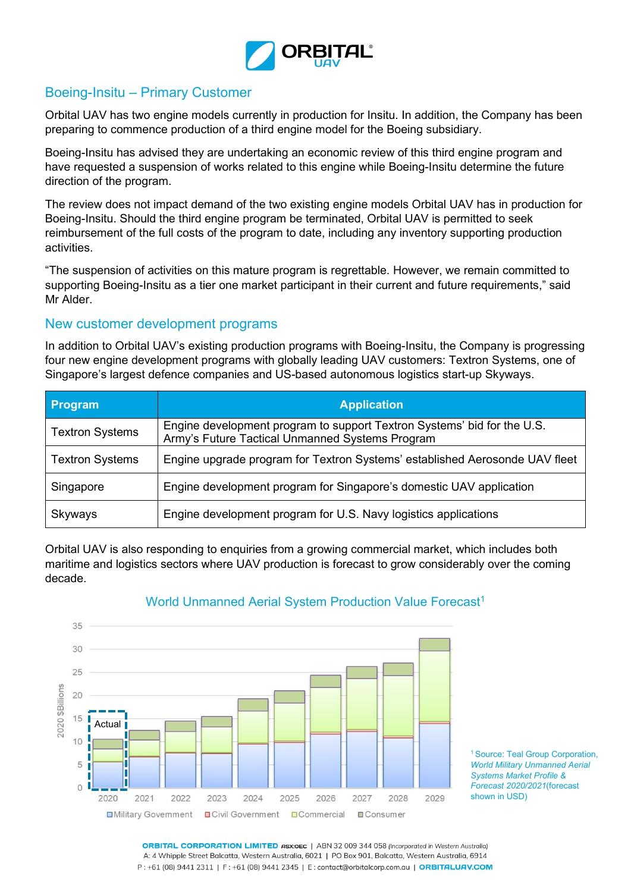

## Boeing-Insitu – Primary Customer

Orbital UAV has two engine models currently in production for Insitu. In addition, the Company has been preparing to commence production of a third engine model for the Boeing subsidiary.

Boeing-Insitu has advised they are undertaking an economic review of this third engine program and have requested a suspension of works related to this engine while Boeing-Insitu determine the future direction of the program.

The review does not impact demand of the two existing engine models Orbital UAV has in production for Boeing-Insitu. Should the third engine program be terminated, Orbital UAV is permitted to seek reimbursement of the full costs of the program to date, including any inventory supporting production activities.

"The suspension of activities on this mature program is regrettable. However, we remain committed to supporting Boeing-Insitu as a tier one market participant in their current and future requirements," said Mr Alder.

#### New customer development programs

In addition to Orbital UAV's existing production programs with Boeing-Insitu, the Company is progressing four new engine development programs with globally leading UAV customers: Textron Systems, one of Singapore's largest defence companies and US-based autonomous logistics start-up Skyways.

| Program                | <b>Application</b>                                                                                                         |
|------------------------|----------------------------------------------------------------------------------------------------------------------------|
| <b>Textron Systems</b> | Engine development program to support Textron Systems' bid for the U.S.<br>Army's Future Tactical Unmanned Systems Program |
| <b>Textron Systems</b> | Engine upgrade program for Textron Systems' established Aerosonde UAV fleet                                                |
| Singapore              | Engine development program for Singapore's domestic UAV application                                                        |
| Skyways                | Engine development program for U.S. Navy logistics applications                                                            |

Orbital UAV is also responding to enquiries from a growing commercial market, which includes both maritime and logistics sectors where UAV production is forecast to grow considerably over the coming decade.



### World Unmanned Aerial System Production Value Forecast<sup>1</sup>

1 Source: Teal Group Corporation, *World Military Unmanned Aerial Systems Market Profile & Forecast 2020/2021*(forecast shown in USD)

**ORBITAL CORPORATION LIMITED ASX:OEC** | ABN 32 009 344 058 (Incorporated in Western Australia) A: 4 Whipple Street Balcatta, Western Australia, 6021 | PO Box 901, Balcatta, Western Australia, 6914 P: +61 (08) 9441 2311 | F: +61 (08) 9441 2345 | E: contact@orbitalcorp.com.au | ORBITALUAV.COM